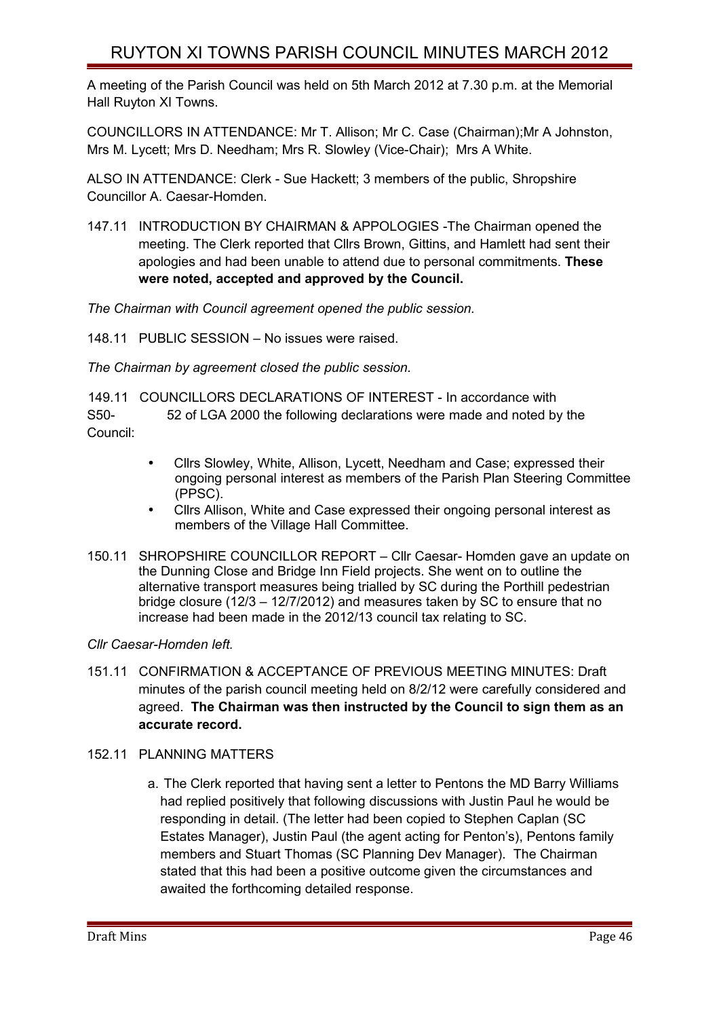# RUYTON XI TOWNS PARISH COUNCIL MINUTES MARCH 2012

A meeting of the Parish Council was held on 5th March 2012 at 7.30 p.m. at the Memorial Hall Ruyton XI Towns.

COUNCILLORS IN ATTENDANCE: Mr T. Allison; Mr C. Case (Chairman);Mr A Johnston, Mrs M. Lycett; Mrs D. Needham; Mrs R. Slowley (Vice-Chair); Mrs A White.

ALSO IN ATTENDANCE: Clerk - Sue Hackett; 3 members of the public, Shropshire Councillor A. Caesar-Homden.

147.11 INTRODUCTION BY CHAIRMAN & APPOLOGIES -The Chairman opened the meeting. The Clerk reported that Cllrs Brown, Gittins, and Hamlett had sent their apologies and had been unable to attend due to personal commitments. **These were noted, accepted and approved by the Council.**

*The Chairman with Council agreement opened the public session.*

148.11 PUBLIC SESSION – No issues were raised.

*The Chairman by agreement closed the public session.*

149.11 COUNCILLORS DECLARATIONS OF INTEREST - In accordance with S50- 52 of LGA 2000 the following declarations were made and noted by the Council:

- Cllrs Slowley, White, Allison, Lycett, Needham and Case; expressed their ongoing personal interest as members of the Parish Plan Steering Committee (PPSC).
- Cllrs Allison, White and Case expressed their ongoing personal interest as members of the Village Hall Committee.
- 150.11 SHROPSHIRE COUNCILLOR REPORT Cllr Caesar- Homden gave an update on the Dunning Close and Bridge Inn Field projects. She went on to outline the alternative transport measures being trialled by SC during the Porthill pedestrian bridge closure (12/3 – 12/7/2012) and measures taken by SC to ensure that no increase had been made in the 2012/13 council tax relating to SC.

### *Cllr Caesar-Homden left.*

151.11 CONFIRMATION & ACCEPTANCE OF PREVIOUS MEETING MINUTES: Draft minutes of the parish council meeting held on 8/2/12 were carefully considered and agreed. **The Chairman was then instructed by the Council to sign them as an accurate record.** 

### 152.11 PLANNING MATTERS

a. The Clerk reported that having sent a letter to Pentons the MD Barry Williams had replied positively that following discussions with Justin Paul he would be responding in detail. (The letter had been copied to Stephen Caplan (SC Estates Manager), Justin Paul (the agent acting for Penton's), Pentons family members and Stuart Thomas (SC Planning Dev Manager). The Chairman stated that this had been a positive outcome given the circumstances and awaited the forthcoming detailed response.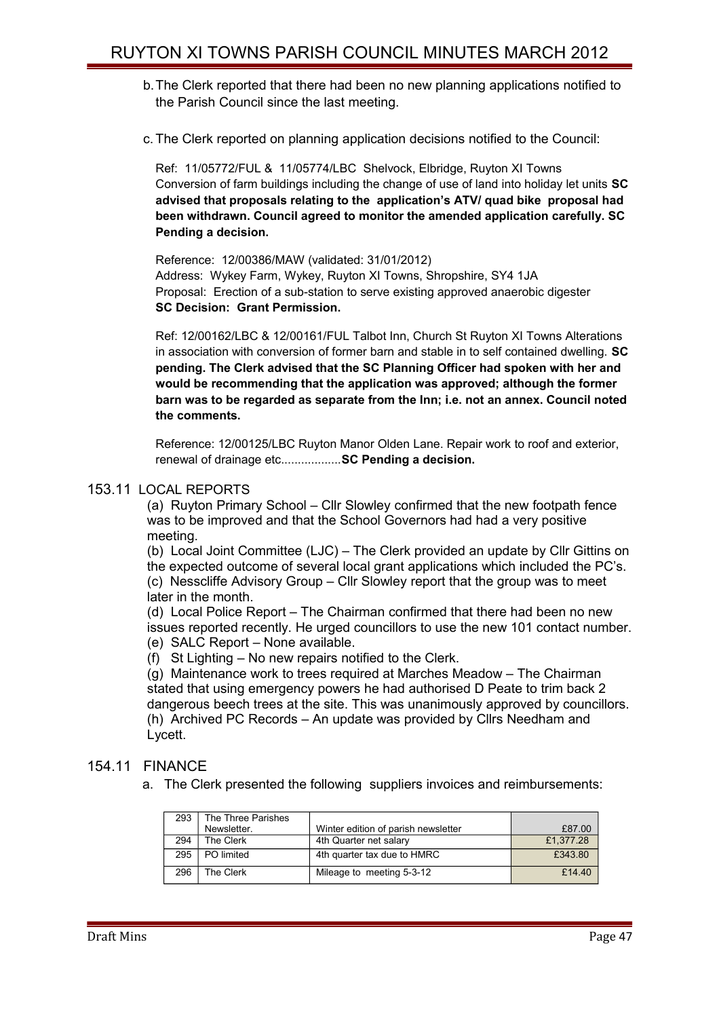- b.The Clerk reported that there had been no new planning applications notified to the Parish Council since the last meeting.
- c. The Clerk reported on planning application decisions notified to the Council:

Ref: 11/05772/FUL & 11/05774/LBC Shelvock, Elbridge, Ruyton XI Towns Conversion of farm buildings including the change of use of land into holiday let units **SC advised that proposals relating to the application's ATV/ quad bike proposal had been withdrawn. Council agreed to monitor the amended application carefully. SC Pending a decision.**

Reference: 12/00386/MAW (validated: 31/01/2012) Address: Wykey Farm, Wykey, Ruyton XI Towns, Shropshire, SY4 1JA Proposal: Erection of a sub-station to serve existing approved anaerobic digester **SC Decision: Grant Permission.**

Ref: 12/00162/LBC & 12/00161/FUL Talbot Inn, Church St Ruyton XI Towns Alterations in association with conversion of former barn and stable in to self contained dwelling. **SC pending. The Clerk advised that the SC Planning Officer had spoken with her and would be recommending that the application was approved; although the former barn was to be regarded as separate from the Inn; i.e. not an annex. Council noted the comments.**

Reference: 12/00125/LBC Ruyton Manor Olden Lane. Repair work to roof and exterior, renewal of drainage etc..................**SC Pending a decision.**

#### 153.11 LOCAL REPORTS

(a) Ruyton Primary School – Cllr Slowley confirmed that the new footpath fence was to be improved and that the School Governors had had a very positive meeting.

(b) Local Joint Committee (LJC) – The Clerk provided an update by Cllr Gittins on the expected outcome of several local grant applications which included the PC's.

(c) Nesscliffe Advisory Group – Cllr Slowley report that the group was to meet later in the month.

(d) Local Police Report – The Chairman confirmed that there had been no new issues reported recently. He urged councillors to use the new 101 contact number. (e) SALC Report – None available.

(f) St Lighting – No new repairs notified to the Clerk.

(g) Maintenance work to trees required at Marches Meadow – The Chairman stated that using emergency powers he had authorised D Peate to trim back 2 dangerous beech trees at the site. This was unanimously approved by councillors. (h) Archived PC Records – An update was provided by Cllrs Needham and Lycett.

## 154.11 FINANCE

a. The Clerk presented the following suppliers invoices and reimbursements:

| 293 | The Three Parishes |                                     |           |
|-----|--------------------|-------------------------------------|-----------|
|     | Newsletter.        | Winter edition of parish newsletter | £87.00    |
| 294 | The Clerk          | 4th Quarter net salary              | £1.377.28 |
| 295 | PO limited         | 4th quarter tax due to HMRC         | £343.80   |
| 296 | The Clerk          | Mileage to meeting 5-3-12           | £14.40    |